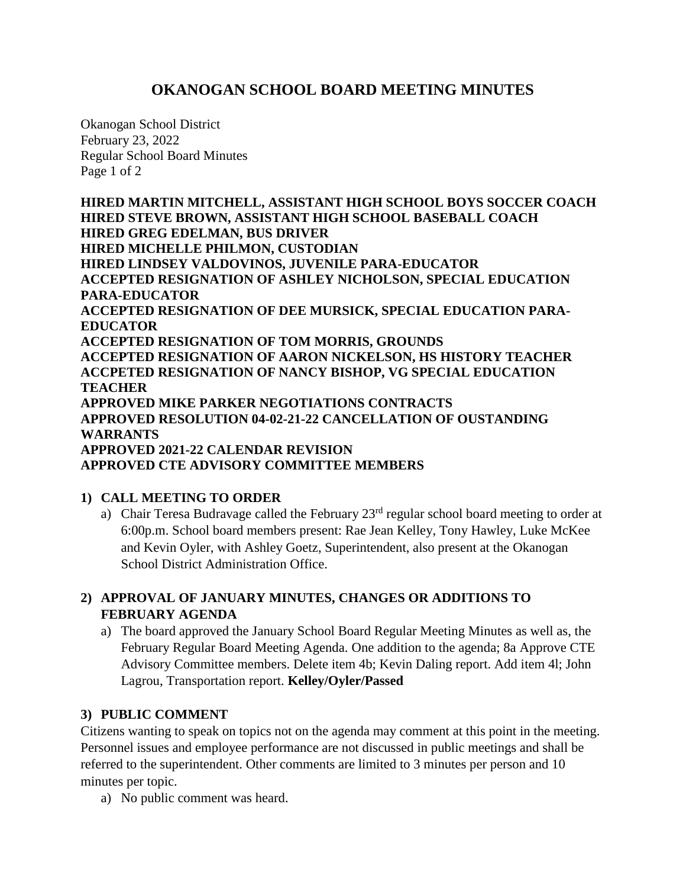# **OKANOGAN SCHOOL BOARD MEETING MINUTES**

Okanogan School District February 23, 2022 Regular School Board Minutes Page 1 of 2

**HIRED MARTIN MITCHELL, ASSISTANT HIGH SCHOOL BOYS SOCCER COACH HIRED STEVE BROWN, ASSISTANT HIGH SCHOOL BASEBALL COACH HIRED GREG EDELMAN, BUS DRIVER HIRED MICHELLE PHILMON, CUSTODIAN HIRED LINDSEY VALDOVINOS, JUVENILE PARA-EDUCATOR ACCEPTED RESIGNATION OF ASHLEY NICHOLSON, SPECIAL EDUCATION PARA-EDUCATOR ACCEPTED RESIGNATION OF DEE MURSICK, SPECIAL EDUCATION PARA-EDUCATOR ACCEPTED RESIGNATION OF TOM MORRIS, GROUNDS ACCEPTED RESIGNATION OF AARON NICKELSON, HS HISTORY TEACHER ACCPETED RESIGNATION OF NANCY BISHOP, VG SPECIAL EDUCATION TEACHER APPROVED MIKE PARKER NEGOTIATIONS CONTRACTS APPROVED RESOLUTION 04-02-21-22 CANCELLATION OF OUSTANDING WARRANTS APPROVED 2021-22 CALENDAR REVISION APPROVED CTE ADVISORY COMMITTEE MEMBERS**

## **1) CALL MEETING TO ORDER**

a) Chair Teresa Budravage called the February 23<sup>rd</sup> regular school board meeting to order at 6:00p.m. School board members present: Rae Jean Kelley, Tony Hawley, Luke McKee and Kevin Oyler, with Ashley Goetz, Superintendent, also present at the Okanogan School District Administration Office.

## **2) APPROVAL OF JANUARY MINUTES, CHANGES OR ADDITIONS TO FEBRUARY AGENDA**

a) The board approved the January School Board Regular Meeting Minutes as well as, the February Regular Board Meeting Agenda. One addition to the agenda; 8a Approve CTE Advisory Committee members. Delete item 4b; Kevin Daling report. Add item 4l; John Lagrou, Transportation report. **Kelley/Oyler/Passed**

#### **3) PUBLIC COMMENT**

Citizens wanting to speak on topics not on the agenda may comment at this point in the meeting. Personnel issues and employee performance are not discussed in public meetings and shall be referred to the superintendent. Other comments are limited to 3 minutes per person and 10 minutes per topic.

a) No public comment was heard.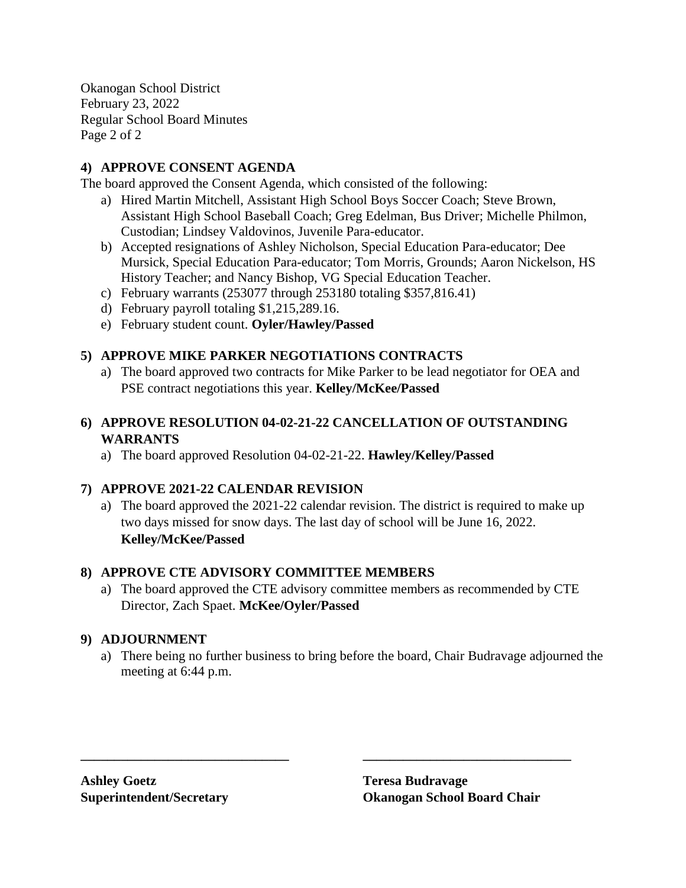Okanogan School District February 23, 2022 Regular School Board Minutes Page 2 of 2

## **4) APPROVE CONSENT AGENDA**

The board approved the Consent Agenda, which consisted of the following:

- a) Hired Martin Mitchell, Assistant High School Boys Soccer Coach; Steve Brown, Assistant High School Baseball Coach; Greg Edelman, Bus Driver; Michelle Philmon, Custodian; Lindsey Valdovinos, Juvenile Para-educator.
- b) Accepted resignations of Ashley Nicholson, Special Education Para-educator; Dee Mursick, Special Education Para-educator; Tom Morris, Grounds; Aaron Nickelson, HS History Teacher; and Nancy Bishop, VG Special Education Teacher.
- c) February warrants (253077 through 253180 totaling \$357,816.41)
- d) February payroll totaling \$1,215,289.16.
- e) February student count. **Oyler/Hawley/Passed**

#### **5) APPROVE MIKE PARKER NEGOTIATIONS CONTRACTS**

a) The board approved two contracts for Mike Parker to be lead negotiator for OEA and PSE contract negotiations this year. **Kelley/McKee/Passed**

### **6) APPROVE RESOLUTION 04-02-21-22 CANCELLATION OF OUTSTANDING WARRANTS**

a) The board approved Resolution 04-02-21-22. **Hawley/Kelley/Passed**

#### **7) APPROVE 2021-22 CALENDAR REVISION**

a) The board approved the 2021-22 calendar revision. The district is required to make up two days missed for snow days. The last day of school will be June 16, 2022. **Kelley/McKee/Passed**

#### **8) APPROVE CTE ADVISORY COMMITTEE MEMBERS**

a) The board approved the CTE advisory committee members as recommended by CTE Director, Zach Spaet. **McKee/Oyler/Passed**

#### **9) ADJOURNMENT**

a) There being no further business to bring before the board, Chair Budravage adjourned the meeting at 6:44 p.m.

**\_\_\_\_\_\_\_\_\_\_\_\_\_\_\_\_\_\_\_\_\_\_\_\_\_\_\_\_\_\_\_ \_\_\_\_\_\_\_\_\_\_\_\_\_\_\_\_\_\_\_\_\_\_\_\_\_\_\_\_\_\_\_**

**Ashley Goetz Teresa Budravage**

**Superintendent/Secretary Okanogan School Board Chair**